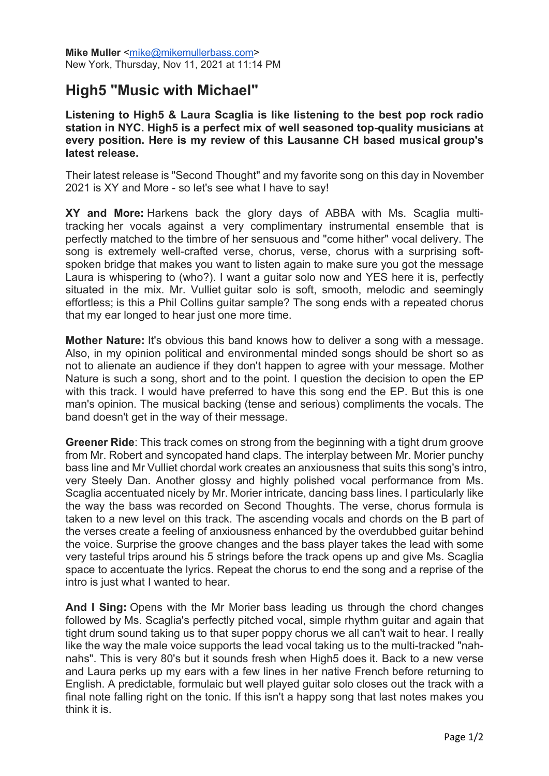## **High5 "Music with Michael"**

**Listening to High5 & Laura Scaglia is like listening to the best pop rock radio station in NYC. High5 is a perfect mix of well seasoned top-quality musicians at every position. Here is my review of this Lausanne CH based musical group's latest release.**

Their latest release is "Second Thought" and my favorite song on this day in November 2021 is XY and More - so let's see what I have to say!

**XY and More:** Harkens back the glory days of ABBA with Ms. Scaglia multitracking her vocals against a very complimentary instrumental ensemble that is perfectly matched to the timbre of her sensuous and "come hither" vocal delivery. The song is extremely well-crafted verse, chorus, verse, chorus with a surprising softspoken bridge that makes you want to listen again to make sure you got the message Laura is whispering to (who?). I want a guitar solo now and YES here it is, perfectly situated in the mix. Mr. Vulliet guitar solo is soft, smooth, melodic and seemingly effortless; is this a Phil Collins guitar sample? The song ends with a repeated chorus that my ear longed to hear just one more time.

**Mother Nature:** It's obvious this band knows how to deliver a song with a message. Also, in my opinion political and environmental minded songs should be short so as not to alienate an audience if they don't happen to agree with your message. Mother Nature is such a song, short and to the point. I question the decision to open the EP with this track. I would have preferred to have this song end the EP. But this is one man's opinion. The musical backing (tense and serious) compliments the vocals. The band doesn't get in the way of their message.

**Greener Ride**: This track comes on strong from the beginning with a tight drum groove from Mr. Robert and syncopated hand claps. The interplay between Mr. Morier punchy bass line and Mr Vulliet chordal work creates an anxiousness that suits this song's intro, very Steely Dan. Another glossy and highly polished vocal performance from Ms. Scaglia accentuated nicely by Mr. Morier intricate, dancing bass lines. I particularly like the way the bass was recorded on Second Thoughts. The verse, chorus formula is taken to a new level on this track. The ascending vocals and chords on the B part of the verses create a feeling of anxiousness enhanced by the overdubbed guitar behind the voice. Surprise the groove changes and the bass player takes the lead with some very tasteful trips around his 5 strings before the track opens up and give Ms. Scaglia space to accentuate the lyrics. Repeat the chorus to end the song and a reprise of the intro is just what I wanted to hear.

**And I Sing:** Opens with the Mr Morier bass leading us through the chord changes followed by Ms. Scaglia's perfectly pitched vocal, simple rhythm guitar and again that tight drum sound taking us to that super poppy chorus we all can't wait to hear. I really like the way the male voice supports the lead vocal taking us to the multi-tracked "nahnahs". This is very 80's but it sounds fresh when High5 does it. Back to a new verse and Laura perks up my ears with a few lines in her native French before returning to English. A predictable, formulaic but well played guitar solo closes out the track with a final note falling right on the tonic. If this isn't a happy song that last notes makes you think it is.